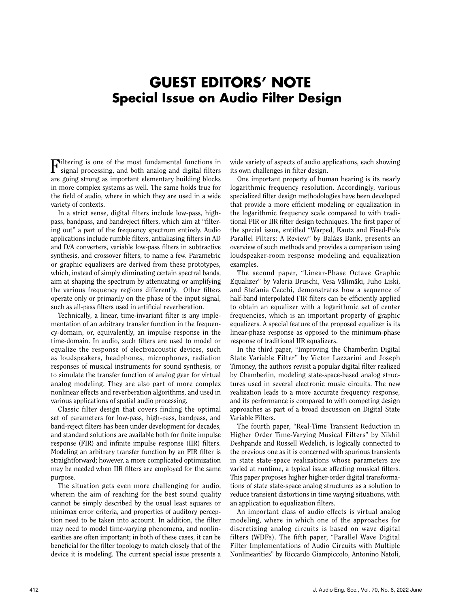## **GUEST EDITORS' NOTE Special Issue on Audio Filter Design**

Filtering is one of the most fundamental functions in signal processing, and both analog and digital filters are going strong as important elementary building blocks in more complex systems as well. The same holds true for the field of audio, where in which they are used in a wide variety of contexts.

In a strict sense, digital filters include low-pass, highpass, bandpass, and bandreject filters, which aim at "filtering out'' a part of the frequency spectrum entirely. Audio applications include rumble filters, antialiasing filters in AD and D/A converters, variable low-pass filters in subtractive synthesis, and crossover filters, to name a few. Parametric or graphic equalizers are derived from these prototypes, which, instead of simply eliminating certain spectral bands, aim at shaping the spectrum by attenuating or amplifying the various frequency regions differently. Other filters operate only or primarily on the phase of the input signal, such as all-pass filters used in artificial reverberation.

Technically, a linear, time-invariant filter is any implementation of an arbitrary transfer function in the frequency-domain, or, equivalently, an impulse response in the time-domain. In audio, such filters are used to model or equalize the response of electroacoustic devices, such as loudspeakers, headphones, microphones, radiation responses of musical instruments for sound synthesis, or to simulate the transfer function of analog gear for virtual analog modeling. They are also part of more complex nonlinear effects and reverberation algorithms, and used in various applications of spatial audio processing.

Classic filter design that covers finding the optimal set of parameters for low-pass, high-pass, bandpass, and band-reject filters has been under development for decades, and standard solutions are available both for finite impulse response (FIR) and infinite impulse response (IIR) filters. Modeling an arbitrary transfer function by an FIR filter is straightforward; however, a more complicated optimization may be needed when IIR filters are employed for the same purpose.

The situation gets even more challenging for audio, wherein the aim of reaching for the best sound quality cannot be simply described by the usual least squares or minimax error criteria, and properties of auditory perception need to be taken into account. In addition, the filter may need to model time-varying phenomena, and nonlinearities are often important; in both of these cases, it can be beneficial for the filter topology to match closely that of the device it is modeling. The current special issue presents a wide variety of aspects of audio applications, each showing its own challenges in filter design.

One important property of human hearing is its nearly logarithmic frequency resolution. Accordingly, various specialized filter design methodologies have been developed that provide a more efficient modeling or equalization in the logarithmic frequency scale compared to with traditional FIR or IIR filter design techniques. The first paper of the special issue, entitled "Warped, Kautz and Fixed-Pole Parallel Filters: A Review" by Balázs Bank, presents an overview of such methods and provides a comparison using loudspeaker-room response modeling and equalization examples.

The second paper, "Linear-Phase Octave Graphic Equalizer" by Valeria Bruschi, Vesa Välimäki, Juho Liski, and Stefania Cecchi, demonstrates how a sequence of half-band interpolated FIR filters can be efficiently applied to obtain an equalizer with a logarithmic set of center frequencies, which is an important property of graphic equalizers. A special feature of the proposed equalizer is its linear-phase response as opposed to the minimum-phase response of traditional IIR equalizers.

In the third paper, "Improving the Chamberlin Digital State Variable Filter" by Victor Lazzarini and Joseph Timoney, the authors revisit a popular digital filter realized by Chamberlin, modeling state-space-based analog structures used in several electronic music circuits. The new realization leads to a more accurate frequency response, and its performance is compared to with competing design approaches as part of a broad discussion on Digital State Variable Filters.

The fourth paper, "Real-Time Transient Reduction in Higher Order Time-Varying Musical Filters" by Nikhil Deshpande and Russell Wedelich, is logically connected to the previous one as it is concerned with spurious transients in state state-space realizations whose parameters are varied at runtime, a typical issue affecting musical filters. This paper proposes higher higher-order digital transformations of state state-space analog structures as a solution to reduce transient distortions in time varying situations, with an application to equalization filters.

An important class of audio effects is virtual analog modeling, where in which one of the approaches for discretizing analog circuits is based on wave digital filters (WDFs). The fifth paper, "Parallel Wave Digital Filter Implementations of Audio Circuits with Multiple Nonlinearities" by Riccardo Giampiccolo, Antonino Natoli,